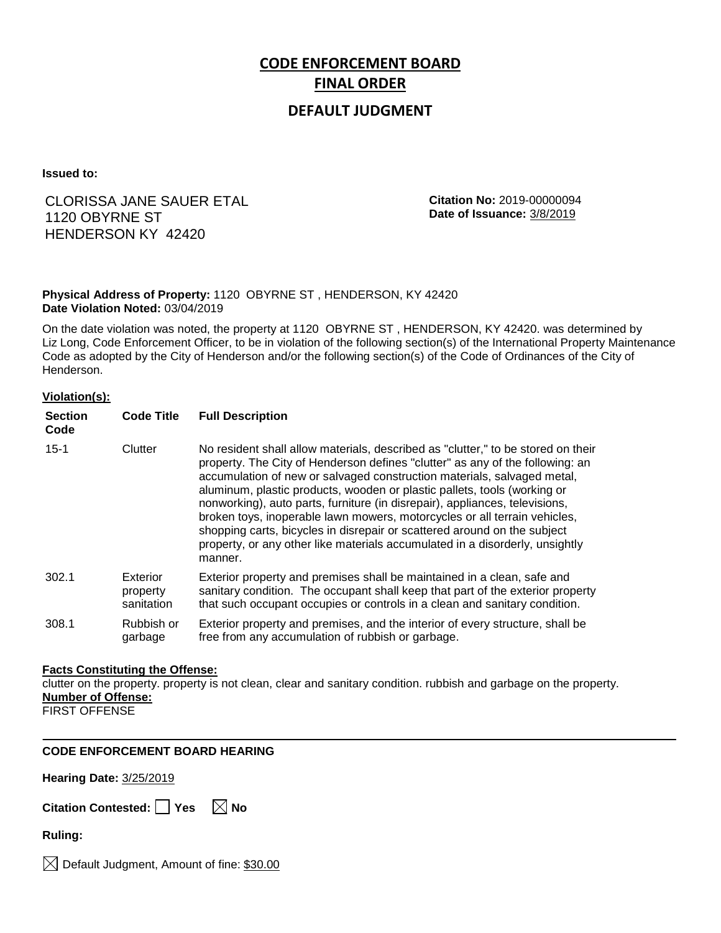# **CODE ENFORCEMENT BOARD FINAL ORDER**

## **DEFAULT JUDGMENT**

**Issued to:**

# CLORISSA JANE SAUER ETAL 1120 OBYRNE ST HENDERSON KY 42420

**Citation No:** 2019-00000094 **Date of Issuance:** 3/8/2019

### **Physical Address of Property:** 1120 OBYRNE ST , HENDERSON, KY 42420 **Date Violation Noted:** 03/04/2019

On the date violation was noted, the property at 1120 OBYRNE ST , HENDERSON, KY 42420. was determined by Liz Long, Code Enforcement Officer, to be in violation of the following section(s) of the International Property Maintenance Code as adopted by the City of Henderson and/or the following section(s) of the Code of Ordinances of the City of Henderson.

#### **Violation(s):**

| <b>Section</b><br>Code | <b>Code Title</b>                  | <b>Full Description</b>                                                                                                                                                                                                                                                                                                                                                                                                                                                                                                                                                                                                                                     |
|------------------------|------------------------------------|-------------------------------------------------------------------------------------------------------------------------------------------------------------------------------------------------------------------------------------------------------------------------------------------------------------------------------------------------------------------------------------------------------------------------------------------------------------------------------------------------------------------------------------------------------------------------------------------------------------------------------------------------------------|
| $15 - 1$               | Clutter                            | No resident shall allow materials, described as "clutter," to be stored on their<br>property. The City of Henderson defines "clutter" as any of the following: an<br>accumulation of new or salvaged construction materials, salvaged metal,<br>aluminum, plastic products, wooden or plastic pallets, tools (working or<br>nonworking), auto parts, furniture (in disrepair), appliances, televisions,<br>broken toys, inoperable lawn mowers, motorcycles or all terrain vehicles,<br>shopping carts, bicycles in disrepair or scattered around on the subject<br>property, or any other like materials accumulated in a disorderly, unsightly<br>manner. |
| 302.1                  | Exterior<br>property<br>sanitation | Exterior property and premises shall be maintained in a clean, safe and<br>sanitary condition. The occupant shall keep that part of the exterior property<br>that such occupant occupies or controls in a clean and sanitary condition.                                                                                                                                                                                                                                                                                                                                                                                                                     |
| 308.1                  | Rubbish or<br>garbage              | Exterior property and premises, and the interior of every structure, shall be<br>free from any accumulation of rubbish or garbage.                                                                                                                                                                                                                                                                                                                                                                                                                                                                                                                          |

#### **Facts Constituting the Offense:**

clutter on the property. property is not clean, clear and sanitary condition. rubbish and garbage on the property. **Number of Offense:**

FIRST OFFENSE

## **CODE ENFORCEMENT BOARD HEARING**

**Hearing Date:** 3/25/2019

| Citation Contested: Yes |  | $\boxtimes$ No |
|-------------------------|--|----------------|
|-------------------------|--|----------------|

**Ruling:**

 $\boxtimes$  Default Judgment, Amount of fine: \$30.00